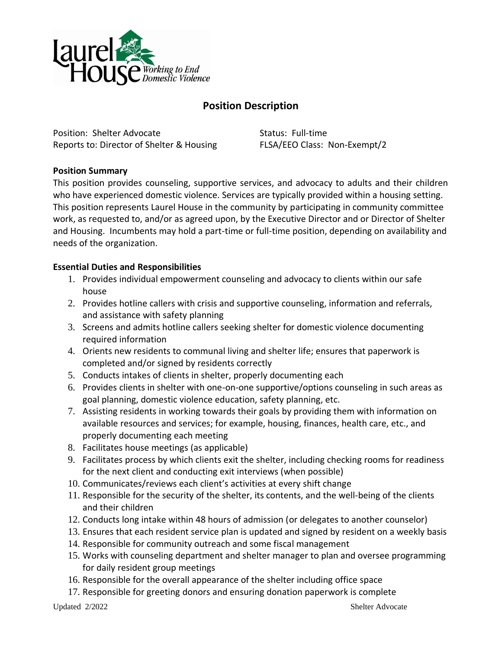

## **Position Description**

Position: Shelter Advocate Status: Full-time Reports to: Director of Shelter & Housing FLSA/EEO Class: Non-Exempt/2

## **Position Summary**

This position provides counseling, supportive services, and advocacy to adults and their children who have experienced domestic violence. Services are typically provided within a housing setting. This position represents Laurel House in the community by participating in community committee work, as requested to, and/or as agreed upon, by the Executive Director and or Director of Shelter and Housing. Incumbents may hold a part-time or full-time position, depending on availability and needs of the organization.

## **Essential Duties and Responsibilities**

- 1. Provides individual empowerment counseling and advocacy to clients within our safe house
- 2. Provides hotline callers with crisis and supportive counseling, information and referrals, and assistance with safety planning
- 3. Screens and admits hotline callers seeking shelter for domestic violence documenting required information
- 4. Orients new residents to communal living and shelter life; ensures that paperwork is completed and/or signed by residents correctly
- 5. Conducts intakes of clients in shelter, properly documenting each
- 6. Provides clients in shelter with one-on-one supportive/options counseling in such areas as goal planning, domestic violence education, safety planning, etc.
- 7. Assisting residents in working towards their goals by providing them with information on available resources and services; for example, housing, finances, health care, etc., and properly documenting each meeting
- 8. Facilitates house meetings (as applicable)
- 9. Facilitates process by which clients exit the shelter, including checking rooms for readiness for the next client and conducting exit interviews (when possible)
- 10. Communicates/reviews each client's activities at every shift change
- 11. Responsible for the security of the shelter, its contents, and the well-being of the clients and their children
- 12. Conducts long intake within 48 hours of admission (or delegates to another counselor)
- 13. Ensures that each resident service plan is updated and signed by resident on a weekly basis
- 14. Responsible for community outreach and some fiscal management
- 15. Works with counseling department and shelter manager to plan and oversee programming for daily resident group meetings
- 16. Responsible for the overall appearance of the shelter including office space
- 17. Responsible for greeting donors and ensuring donation paperwork is complete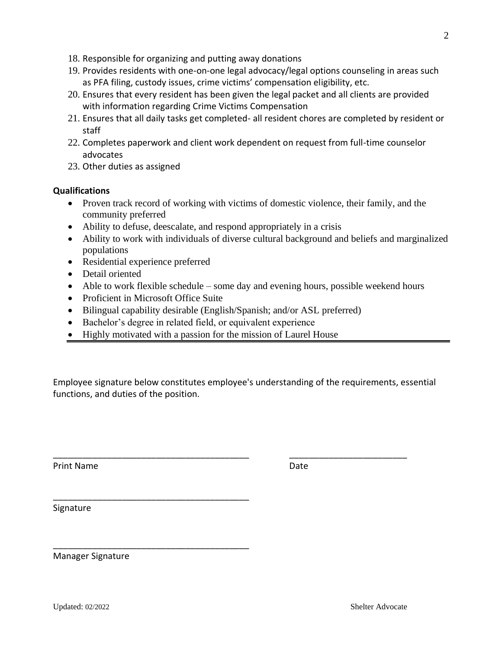Updated: 02/2022 Shelter Advocate

- 18. Responsible for organizing and putting away donations
- 19. Provides residents with one-on-one legal advocacy/legal options counseling in areas such as PFA filing, custody issues, crime victims' compensation eligibility, etc.
- 20. Ensures that every resident has been given the legal packet and all clients are provided with information regarding Crime Victims Compensation
- 21. Ensures that all daily tasks get completed- all resident chores are completed by resident or staff
- 22. Completes paperwork and client work dependent on request from full-time counselor advocates
- 23. Other duties as assigned

## **Qualifications**

- Proven track record of working with victims of domestic violence, their family, and the community preferred
- Ability to defuse, deescalate, and respond appropriately in a crisis
- Ability to work with individuals of diverse cultural background and beliefs and marginalized populations
- Residential experience preferred
- Detail oriented
- Able to work flexible schedule some day and evening hours, possible weekend hours
- Proficient in Microsoft Office Suite

\_\_\_\_\_\_\_\_\_\_\_\_\_\_\_\_\_\_\_\_\_\_\_\_\_\_\_\_\_\_\_\_\_\_\_\_\_\_\_\_

\_\_\_\_\_\_\_\_\_\_\_\_\_\_\_\_\_\_\_\_\_\_\_\_\_\_\_\_\_\_\_\_\_\_\_\_\_\_\_\_

- Bilingual capability desirable (English/Spanish; and/or ASL preferred)
- Bachelor's degree in related field, or equivalent experience
- Highly motivated with a passion for the mission of Laurel House

Employee signature below constitutes employee's understanding of the requirements, essential functions, and duties of the position.

\_\_\_\_\_\_\_\_\_\_\_\_\_\_\_\_\_\_\_\_\_\_\_\_\_\_\_\_\_\_\_\_\_\_\_\_\_\_\_\_ \_\_\_\_\_\_\_\_\_\_\_\_\_\_\_\_\_\_\_\_\_\_\_\_

Print Name Date

Signature

Manager Signature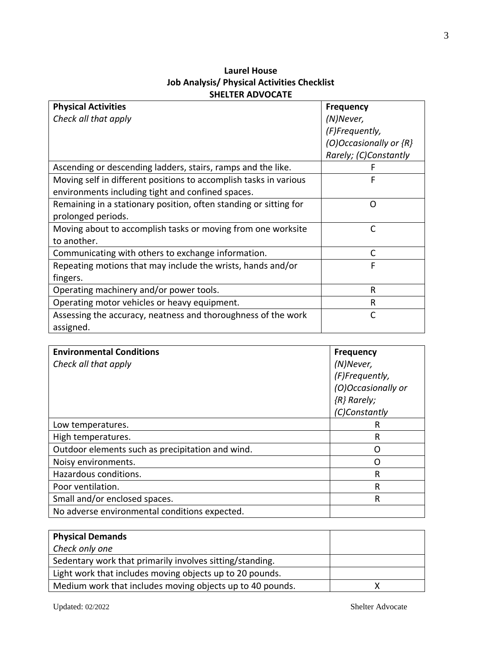| <b>Laurel House</b>                         |
|---------------------------------------------|
| Job Analysis/ Physical Activities Checklist |
| <b>SHELTER ADVOCATE</b>                     |

| <b>Physical Activities</b>                                        | <b>Frequency</b>           |
|-------------------------------------------------------------------|----------------------------|
| Check all that apply                                              | (N)Never,                  |
|                                                                   | (F)Frequently,             |
|                                                                   | (O)Occasionally or $\{R\}$ |
|                                                                   | Rarely; (C)Constantly      |
| Ascending or descending ladders, stairs, ramps and the like.      |                            |
| Moving self in different positions to accomplish tasks in various | F                          |
| environments including tight and confined spaces.                 |                            |
| Remaining in a stationary position, often standing or sitting for | $\Omega$                   |
| prolonged periods.                                                |                            |
| Moving about to accomplish tasks or moving from one worksite      | $\mathsf{C}$               |
| to another.                                                       |                            |
| Communicating with others to exchange information.                | C                          |
| Repeating motions that may include the wrists, hands and/or       | F                          |
| fingers.                                                          |                            |
| Operating machinery and/or power tools.                           | R                          |
| Operating motor vehicles or heavy equipment.                      | R                          |
| Assessing the accuracy, neatness and thoroughness of the work     | $\mathsf{C}$               |
| assigned.                                                         |                            |

| <b>Environmental Conditions</b>                  | <b>Frequency</b>   |
|--------------------------------------------------|--------------------|
| Check all that apply                             | (N)Never,          |
|                                                  | (F)Frequently,     |
|                                                  | (O)Occasionally or |
|                                                  | ${R}$ Rarely;      |
|                                                  | (C)Constantly      |
| Low temperatures.                                | R                  |
| High temperatures.                               | R                  |
| Outdoor elements such as precipitation and wind. | 〔 〕                |
| Noisy environments.                              | ( )                |
| Hazardous conditions.                            | R                  |
| Poor ventilation.                                | R                  |
| Small and/or enclosed spaces.                    | R                  |
| No adverse environmental conditions expected.    |                    |

| <b>Physical Demands</b>                                   |  |
|-----------------------------------------------------------|--|
| Check only one                                            |  |
| Sedentary work that primarily involves sitting/standing.  |  |
| Light work that includes moving objects up to 20 pounds.  |  |
| Medium work that includes moving objects up to 40 pounds. |  |